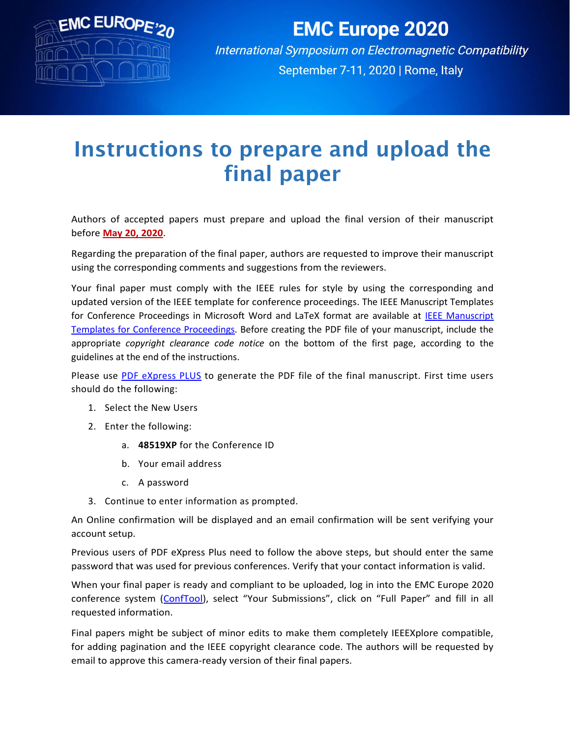

**EMC Europe 2020** International Symposium on Electromagnetic Compatibility September 7-11, 2020 | Rome, Italy

## Instructions to prepare and upload the final paper

Authors of accepted papers must prepare and upload the final version of their manuscript before **May 20, 2020**.

Regarding the preparation of the final paper, authors are requested to improve their manuscript using the corresponding comments and suggestions from the reviewers.

Your final paper must comply with the IEEE rules for style by using the corresponding and updated version of the IEEE template for conference proceedings. The IEEE Manuscript Templates for Conference Proceedings in Microsoft Word and LaTeX format are available at [IEEE Manuscript](https://www.ieee.org/conferences/publishing/templates.html)  [Templates for Conference Proceedings.](https://www.ieee.org/conferences/publishing/templates.html) Before creating the PDF file of your manuscript, include the appropriate *copyright clearance code notice* on the bottom of the first page, according to the guidelines at the end of the instructions.

Please use [PDF eXpress PLUS](https://www.pdf-express.org/client/) to generate the PDF file of the final manuscript. First time users should do the following:

- 1. Select the New Users
- 2. Enter the following:
	- a. **48519XP** for the Conference ID
	- b. Your email address
	- c. A password
- 3. Continue to enter information as prompted.

An Online confirmation will be displayed and an email confirmation will be sent verifying your account setup.

Previous users of PDF eXpress Plus need to follow the above steps, but should enter the same password that was used for previous conferences. Verify that your contact information is valid.

When your final paper is ready and compliant to be uploaded, log in into the EMC Europe 2020 conference system [\(ConfTool\)](https://www.conftool.org/emceurope2020/index.php?page=login), select "Your Submissions", click on "Full Paper" and fill in all requested information.

Final papers might be subject of minor edits to make them completely IEEEXplore compatible, for adding pagination and the IEEE copyright clearance code. The authors will be requested by email to approve this camera-ready version of their final papers.